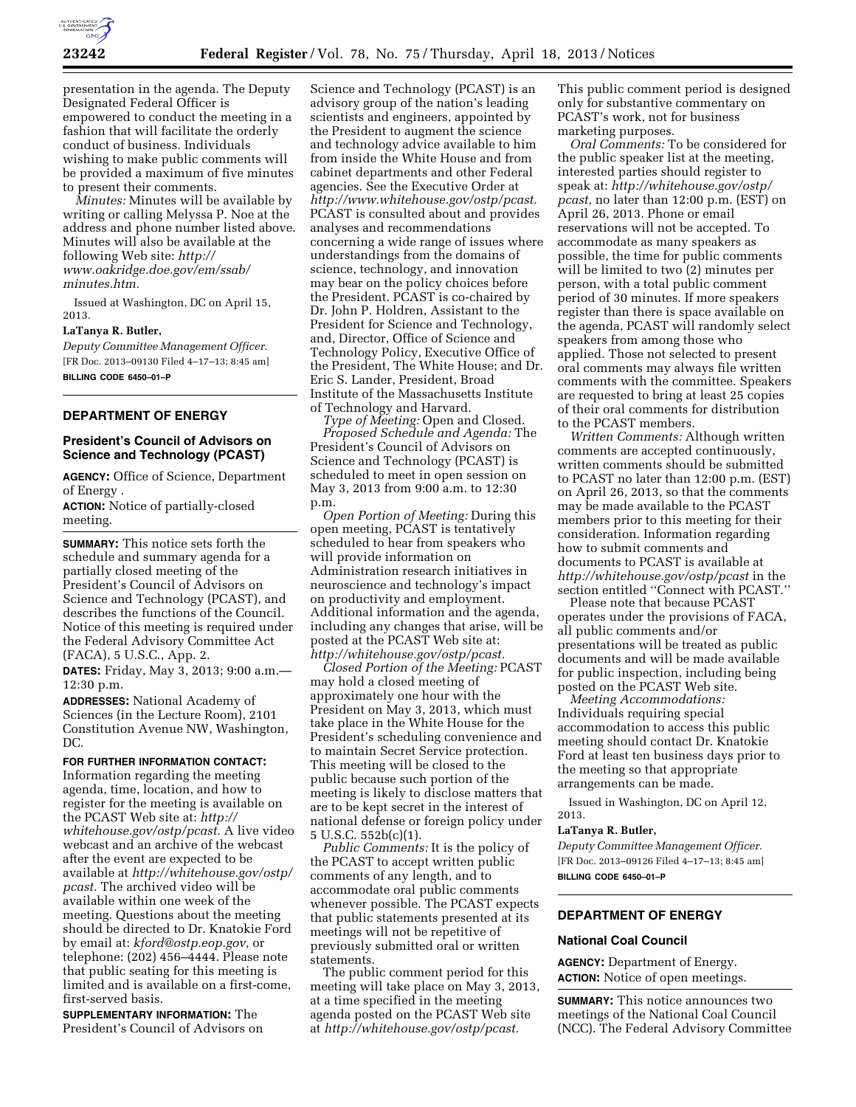

presentation in the agenda. The Deputy Designated Federal Officer is empowered to conduct the meeting in a fashion that will facilitate the orderly conduct of business. Individuals wishing to make public comments will be provided a maximum of five minutes to present their comments.

*Minutes:* Minutes will be available by writing or calling Melyssa P. Noe at the address and phone number listed above. Minutes will also be available at the following Web site: *[http://](http://www.oakridge.doe.gov/em/ssab/minutes.htm)  [www.oakridge.doe.gov/em/ssab/](http://www.oakridge.doe.gov/em/ssab/minutes.htm) [minutes.htm.](http://www.oakridge.doe.gov/em/ssab/minutes.htm)* 

Issued at Washington, DC on April 15, 2013.

#### **LaTanya R. Butler,**

*Deputy Committee Management Officer.*  [FR Doc. 2013–09130 Filed 4–17–13; 8:45 am] **BILLING CODE 6450–01–P** 

# **DEPARTMENT OF ENERGY**

# **President's Council of Advisors on Science and Technology (PCAST)**

**AGENCY:** Office of Science, Department of Energy .

**ACTION:** Notice of partially-closed meeting.

**SUMMARY:** This notice sets forth the schedule and summary agenda for a partially closed meeting of the President's Council of Advisors on Science and Technology (PCAST), and describes the functions of the Council. Notice of this meeting is required under the Federal Advisory Committee Act (FACA), 5 U.S.C., App. 2.

**DATES:** Friday, May 3, 2013; 9:00 a.m.— 12:30 p.m.

**ADDRESSES:** National Academy of Sciences (in the Lecture Room), 2101 Constitution Avenue NW, Washington, DC.

**FOR FURTHER INFORMATION CONTACT:** 

Information regarding the meeting agenda, time, location, and how to register for the meeting is available on the PCAST Web site at: *[http://](http://whitehouse.gov/ostp/pcast)  [whitehouse.gov/ostp/pcast.](http://whitehouse.gov/ostp/pcast)* A live video webcast and an archive of the webcast after the event are expected to be available at *[http://whitehouse.gov/ostp/](http://whitehouse.gov/ostp/pcast) [pcast.](http://whitehouse.gov/ostp/pcast)* The archived video will be available within one week of the meeting. Questions about the meeting should be directed to Dr. Knatokie Ford by email at: *[kford@ostp.eop.gov,](mailto:kford@ostp.eop.gov)* or telephone: (202) 456–4444. Please note that public seating for this meeting is limited and is available on a first-come, first-served basis.

**SUPPLEMENTARY INFORMATION:** The President's Council of Advisors on

Science and Technology (PCAST) is an advisory group of the nation's leading scientists and engineers, appointed by the President to augment the science and technology advice available to him from inside the White House and from cabinet departments and other Federal agencies. See the Executive Order at *[http://www.whitehouse.gov/ostp/pcast.](http://www.whitehouse.gov/ostp/pcast)*  PCAST is consulted about and provides analyses and recommendations concerning a wide range of issues where understandings from the domains of science, technology, and innovation may bear on the policy choices before the President. PCAST is co-chaired by Dr. John P. Holdren, Assistant to the President for Science and Technology, and, Director, Office of Science and Technology Policy, Executive Office of the President, The White House; and Dr. Eric S. Lander, President, Broad Institute of the Massachusetts Institute of Technology and Harvard.

*Type of Meeting:* Open and Closed. *Proposed Schedule and Agenda:* The President's Council of Advisors on Science and Technology (PCAST) is scheduled to meet in open session on May 3, 2013 from 9:00 a.m. to 12:30 p.m.

*Open Portion of Meeting:* During this open meeting, PCAST is tentatively scheduled to hear from speakers who will provide information on Administration research initiatives in neuroscience and technology's impact on productivity and employment. Additional information and the agenda, including any changes that arise, will be posted at the PCAST Web site at: *[http://whitehouse.gov/ostp/pcast.](http://whitehouse.gov/ostp/pcast)* 

*Closed Portion of the Meeting:* PCAST may hold a closed meeting of approximately one hour with the President on May 3, 2013, which must take place in the White House for the President's scheduling convenience and to maintain Secret Service protection. This meeting will be closed to the public because such portion of the meeting is likely to disclose matters that are to be kept secret in the interest of national defense or foreign policy under 5 U.S.C. 552b(c)(1).

*Public Comments:* It is the policy of the PCAST to accept written public comments of any length, and to accommodate oral public comments whenever possible. The PCAST expects that public statements presented at its meetings will not be repetitive of previously submitted oral or written statements.

The public comment period for this meeting will take place on May 3, 2013, at a time specified in the meeting agenda posted on the PCAST Web site at *[http://whitehouse.gov/ostp/pcast.](http://whitehouse.gov/ostp/pcast)* 

This public comment period is designed only for substantive commentary on PCAST's work, not for business marketing purposes.

*Oral Comments:* To be considered for the public speaker list at the meeting, interested parties should register to speak at: *[http://whitehouse.gov/ostp/](http://whitehouse.gov/ostp/pcast) [pcast,](http://whitehouse.gov/ostp/pcast)* no later than 12:00 p.m. (EST) on April 26, 2013. Phone or email reservations will not be accepted. To accommodate as many speakers as possible, the time for public comments will be limited to two (2) minutes per person, with a total public comment period of 30 minutes. If more speakers register than there is space available on the agenda, PCAST will randomly select speakers from among those who applied. Those not selected to present oral comments may always file written comments with the committee. Speakers are requested to bring at least 25 copies of their oral comments for distribution to the PCAST members.

*Written Comments:* Although written comments are accepted continuously, written comments should be submitted to PCAST no later than 12:00 p.m. (EST) on April 26, 2013, so that the comments may be made available to the PCAST members prior to this meeting for their consideration. Information regarding how to submit comments and documents to PCAST is available at *<http://whitehouse.gov/ostp/pcast>*in the section entitled ''Connect with PCAST.''

Please note that because PCAST operates under the provisions of FACA, all public comments and/or presentations will be treated as public documents and will be made available for public inspection, including being posted on the PCAST Web site.

*Meeting Accommodations:*  Individuals requiring special accommodation to access this public meeting should contact Dr. Knatokie Ford at least ten business days prior to the meeting so that appropriate arrangements can be made.

Issued in Washington, DC on April 12, 2013.

## **LaTanya R. Butler,**

*Deputy Committee Management Officer.*  [FR Doc. 2013–09126 Filed 4–17–13; 8:45 am] **BILLING CODE 6450–01–P** 

# **DEPARTMENT OF ENERGY**

### **National Coal Council**

**AGENCY:** Department of Energy. **ACTION:** Notice of open meetings.

**SUMMARY:** This notice announces two meetings of the National Coal Council (NCC). The Federal Advisory Committee